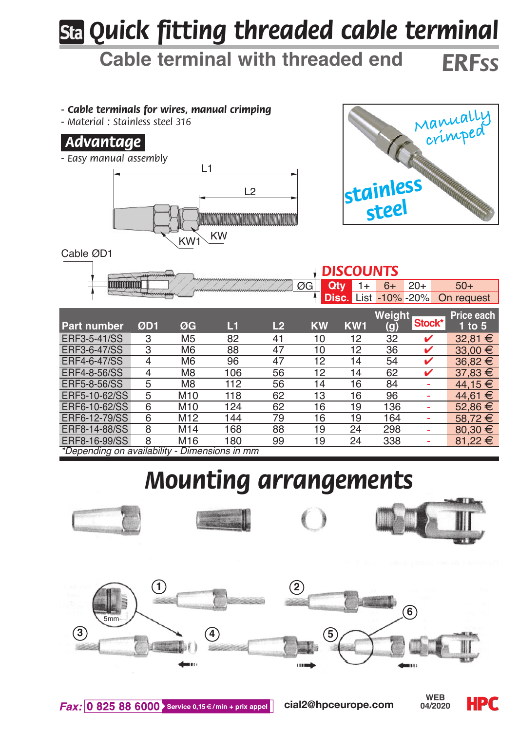# *Quick fitting threaded cable terminal*

## **Cable terminal with threaded end** *ERFss*

#### *- Cable terminals for wires, manual crimping*

*- Material : Stainless steel 316*

### *.Advantage.*

*- Easy manual assembly*





|                                                              | <b>DISCOUNTS</b> |                |     |                |                  |                 |        |        |                                        |
|--------------------------------------------------------------|------------------|----------------|-----|----------------|------------------|-----------------|--------|--------|----------------------------------------|
|                                                              |                  |                |     |                | ØG<br><b>Qtv</b> |                 |        | $20+$  | $50+$                                  |
|                                                              |                  |                |     |                |                  |                 |        |        | <b>Disc.</b> List -10% -20% On request |
|                                                              |                  |                |     |                |                  |                 | Weiaht |        | Price each                             |
| Part number                                                  | ØD <sub>1</sub>  | ØG             | L 1 | L <sub>2</sub> | <b>KW</b>        | KW <sub>1</sub> | (g)    |        | 1 to $5$                               |
|                                                              | 3                | M <sub>5</sub> | 82  | 41             | 10               | 12              | 32     |        | 32.81 €                                |
|                                                              | 3                | M <sub>6</sub> | 88  | 47             | 10               | 12              | 36     | v      | $33,00 \in$                            |
|                                                              | 4                | M <sub>6</sub> | 96  | 47             | 12               | 14              | 54     |        | 36,82 €                                |
|                                                              |                  | M8             | 106 | 56             | 12               | 14              | 62     |        | $37,83 \in$                            |
| ERF3-5-41/SS<br>ERF3-6-47/SS<br>ERF4-6-47/SS<br>ERF4-8-56/SS |                  |                |     |                |                  |                 |        | Stock* |                                        |

| ERF5-8-56/SS                                  | M8              | 112 | 56 | 14 | 16 | 84  | ۰ | 44.15 € |
|-----------------------------------------------|-----------------|-----|----|----|----|-----|---|---------|
| ERF5-10-62/SS                                 | M10             | 118 | 62 | 13 | 16 | 96  |   | 44.61 € |
| ERF6-10-62/SS                                 | M10             | 124 | 62 | 16 | 19 | 136 |   | 52.86 € |
| ERF6-12-79/SS                                 | M <sub>12</sub> | 144 | 79 | 16 | 19 | 164 |   | 58.72€  |
| ERF8-14-88/SS                                 | M14             | 168 | 88 | 19 | 24 | 298 |   | 80.30 € |
| ERF8-16-99/SS                                 | M <sub>16</sub> | 180 | 99 | 19 | 24 | 338 |   | 81.22 € |
| *Depending on availability - Dimensions in mm |                 |     |    |    |    |     |   |         |

# *Mounting arrangements*



**cial2@hpceurope.com WEB** 



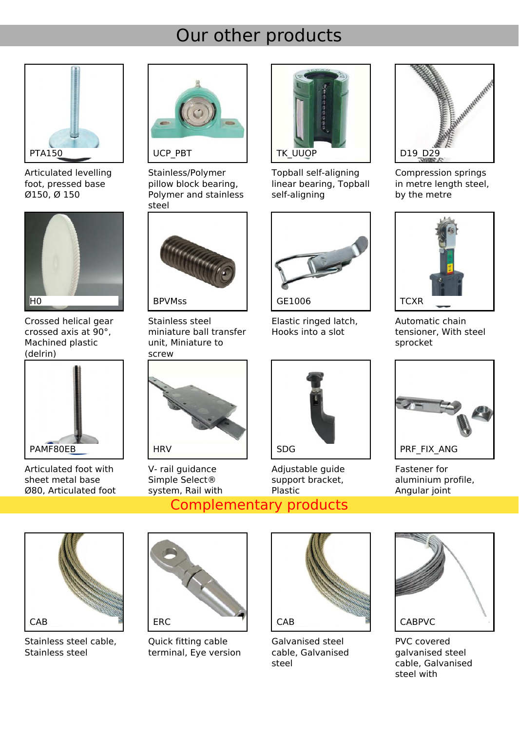### Our other products



Articulated levelling foot, pressed base Ø150, Ø 150



Crossed helical gear crossed axis at 90°, Machined plastic (delrin)



Articulated foot with sheet metal base Ø80, Articulated foot



Stainless/Polymer pillow block bearing, Polymer and stainless steel



**[BPVMss](https://shop.hpceurope.com/an/produit.asp?pk_campaign=PDF&prid=4723)** 

Stainless steel miniature ball transfer unit, Miniature to screw



V- rail guidance Simple Select® system, Rail with



Topball self-aligning linear bearing, Topball self-aligning



Elastic ringed latch, Hooks into a slot



Adjustable guide support bracket, Plastic





Compression springs in metre length steel. by the metre



Automatic chain tensioner, With steel sprocket



Fastener for aluminium profile, Angular joint



Stainless steel cable, Stainless steel



Quick fitting cable terminal, Eye version



Galvanised steel cable, Galvanised steel



PVC covered galvanised steel cable, Galvanised steel with